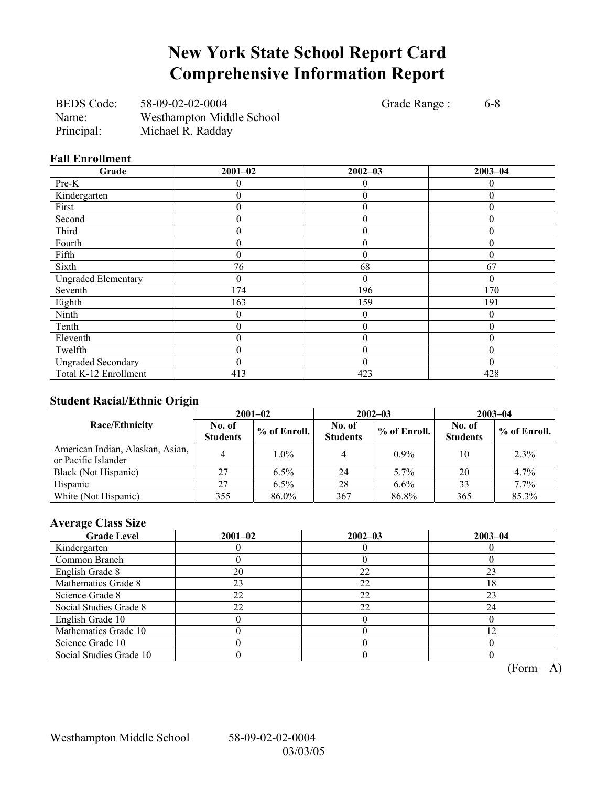## **New York State School Report Card Comprehensive Information Report**

BEDS Code: 58-09-02-02-0004 Grade Range : 6-8 Name: Westhampton Middle School Principal: Michael R. Radday

### **Fall Enrollment**

| **** ***** **********<br>Grade | $2001 - 02$      | $2002 - 03$      | $2003 - 04$       |
|--------------------------------|------------------|------------------|-------------------|
|                                |                  |                  |                   |
| Pre-K                          | 0                | $\theta$         | $\mathbf{\Omega}$ |
| Kindergarten                   | 0                | $\boldsymbol{0}$ |                   |
| First                          | 0                | $\boldsymbol{0}$ | $\theta$          |
| Second                         | 0                | $\theta$         | $\theta$          |
| Third                          | 0                | $\boldsymbol{0}$ | $\theta$          |
| Fourth                         | 0                | $\mathbf{0}$     | 0                 |
| Fifth                          | 0                | $\boldsymbol{0}$ | 0                 |
| Sixth                          | 76               | 68               | 67                |
| <b>Ungraded Elementary</b>     | 0                | $\theta$         | $\Omega$          |
| Seventh                        | 174              | 196              | 170               |
| Eighth                         | 163              | 159              | 191               |
| Ninth                          | $\boldsymbol{0}$ | $\theta$         | $\theta$          |
| Tenth                          | $\theta$         | $\mathbf{0}$     | $\theta$          |
| Eleventh                       | 0                | $\theta$         | 0                 |
| Twelfth                        | 0                | $\theta$         |                   |
| <b>Ungraded Secondary</b>      | 0                | $\overline{0}$   | $\theta$          |
| Total K-12 Enrollment          | 413              | 423              | 428               |

### **Student Racial/Ethnic Origin**

|                                                         | $2001 - 02$               |              |                           | $2002 - 03$  | $2003 - 04$               |                |  |
|---------------------------------------------------------|---------------------------|--------------|---------------------------|--------------|---------------------------|----------------|--|
| <b>Race/Ethnicity</b>                                   | No. of<br><b>Students</b> | % of Enroll. | No. of<br><b>Students</b> | % of Enroll. | No. of<br><b>Students</b> | $%$ of Enroll. |  |
| American Indian, Alaskan, Asian,<br>or Pacific Islander |                           | $1.0\%$      |                           | $0.9\%$      | 10                        | 2.3%           |  |
| Black (Not Hispanic)                                    | 27                        | $6.5\%$      | 24                        | $5.7\%$      | 20                        | 4.7%           |  |
| Hispanic                                                | 27                        | $6.5\%$      | 28                        | $6.6\%$      | 33                        | 7.7%           |  |
| White (Not Hispanic)                                    | 355                       | 86.0%        | 367                       | 86.8%        | 365                       | 85.3%          |  |

## **Average Class Size**

| <b>Grade Level</b>      | $2001 - 02$ | $2002 - 03$ | $2003 - 04$ |
|-------------------------|-------------|-------------|-------------|
| Kindergarten            |             |             |             |
| Common Branch           |             |             |             |
| English Grade 8         | 20          | 22          | 23          |
| Mathematics Grade 8     | 23          | 22          | 18          |
| Science Grade 8         | 22          | 22          | 23          |
| Social Studies Grade 8  | 22          | 22          | 24          |
| English Grade 10        |             |             |             |
| Mathematics Grade 10    |             |             | 12          |
| Science Grade 10        |             |             |             |
| Social Studies Grade 10 |             |             |             |

 $\overline{(Form - A)}$ 

Westhampton Middle School 58-09-02-02-0004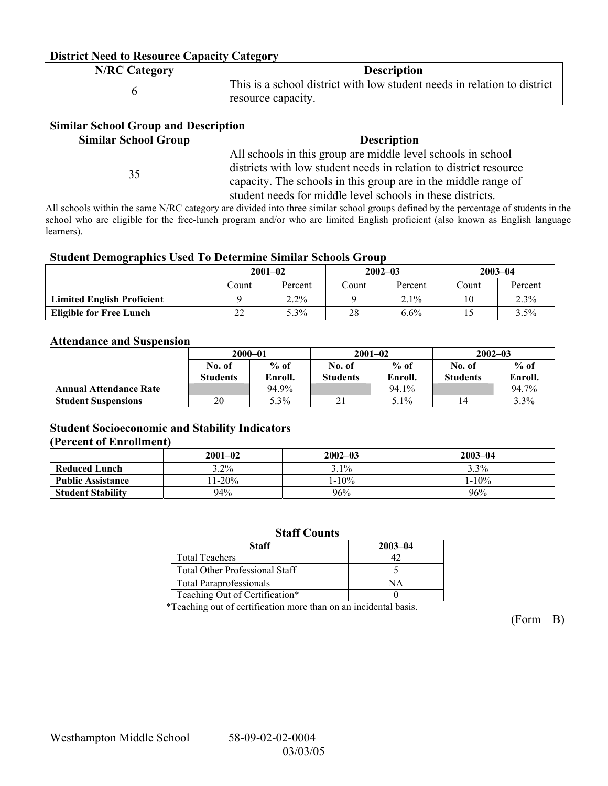### **District Need to Resource Capacity Category**

| <b>N/RC Category</b> | <b>Description</b>                                                       |
|----------------------|--------------------------------------------------------------------------|
|                      | This is a school district with low student needs in relation to district |
|                      | resource capacity.                                                       |

### **Similar School Group and Description**

| <b>Similar School Group</b> | <b>Description</b>                                                                                                                                                                                                                                                |
|-----------------------------|-------------------------------------------------------------------------------------------------------------------------------------------------------------------------------------------------------------------------------------------------------------------|
| 35                          | All schools in this group are middle level schools in school<br>districts with low student needs in relation to district resource<br>capacity. The schools in this group are in the middle range of<br>student needs for middle level schools in these districts. |

All schools within the same N/RC category are divided into three similar school groups defined by the percentage of students in the school who are eligible for the free-lunch program and/or who are limited English proficient (also known as English language learners).

### **Student Demographics Used To Determine Similar Schools Group**

|                                   | $2001 - 02$ |         | $2002 - 03$ |         | $2003 - 04$ |         |
|-----------------------------------|-------------|---------|-------------|---------|-------------|---------|
|                                   | Count       | Percent | Count       | Percent | Count       | Percent |
| <b>Limited English Proficient</b> |             | $2.2\%$ |             | 2.1%    | 10          | 2.3%    |
| <b>Eligible for Free Lunch</b>    | າາ<br>∠∠    | 5.3%    | 28          | $6.6\%$ |             | 3.5%    |

### **Attendance and Suspension**

|                               | $2000 - 01$<br>$%$ of<br>No. of |         |                 | $2001 - 02$ | $2002 - 03$     |         |
|-------------------------------|---------------------------------|---------|-----------------|-------------|-----------------|---------|
|                               |                                 |         | No. of          | $%$ of      | No. of          | $%$ of  |
|                               | <b>Students</b>                 | Enroll. | <b>Students</b> | Enroll.     | <b>Students</b> | Enroll. |
| <b>Annual Attendance Rate</b> |                                 | 94.9%   |                 | 94.1%       |                 | 94.7%   |
| <b>Student Suspensions</b>    | 20                              | 5.3%    |                 | 5.1%        |                 | 3.3%    |

### **Student Socioeconomic and Stability Indicators (Percent of Enrollment)**

### **2001–02 2002–03 2003–04 Reduced Lunch** 3.2% 3.1% 3.1% 3.3% **Public Assistance** 11-20% 1-10% 1-10% 1-10% 1-10% 1-10% 1-10% 1-10% 1-10% 1-10% 1-10% 1-10% 1-10% 1-10% 1-10% 1-10% 1-10% 1-10% 1-10% 1-10% 1-10% 1-10% 1-10% 1-10% 1-10% 1-10% 1-10% 1-10% 1-10% 1-10% 1-10% 1-10% 1-10% 1-1 **Student Stability 94%** 96%

### **Staff Counts**

| Staff                                 | $2003 - 04$ |
|---------------------------------------|-------------|
| <b>Total Teachers</b>                 |             |
| <b>Total Other Professional Staff</b> |             |
| <b>Total Paraprofessionals</b>        | NА          |
| Teaching Out of Certification*        |             |

\*Teaching out of certification more than on an incidental basis.

 $(Form - B)$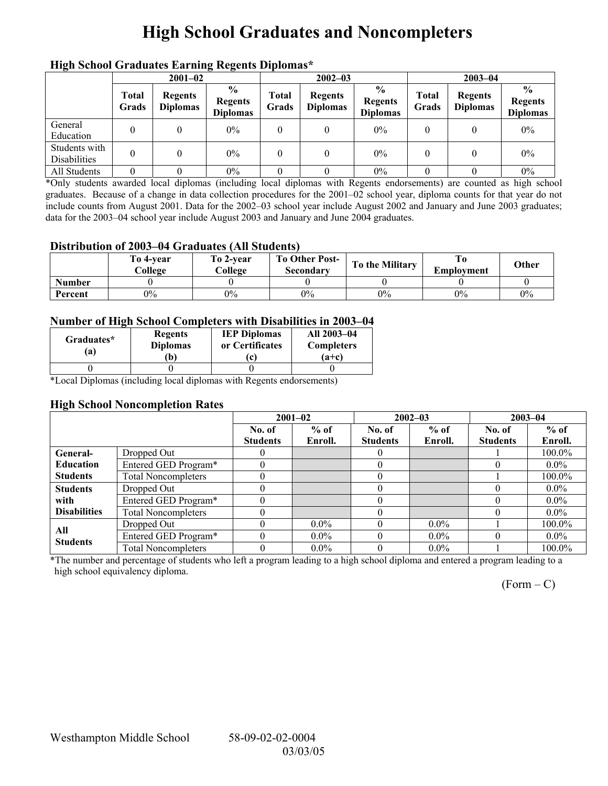# **High School Graduates and Noncompleters**

| mgn benoor Grauuates Larming regents Diplomas |                       |                                   |                                                     |                       |                                   |                                                    |                |                                   |                                                    |
|-----------------------------------------------|-----------------------|-----------------------------------|-----------------------------------------------------|-----------------------|-----------------------------------|----------------------------------------------------|----------------|-----------------------------------|----------------------------------------------------|
|                                               | $2001 - 02$           |                                   |                                                     | $2002 - 03$           |                                   |                                                    | $2003 - 04$    |                                   |                                                    |
|                                               | <b>Total</b><br>Grads | <b>Regents</b><br><b>Diplomas</b> | $\frac{6}{10}$<br><b>Regents</b><br><b>Diplomas</b> | <b>Total</b><br>Grads | <b>Regents</b><br><b>Diplomas</b> | $\frac{0}{0}$<br><b>Regents</b><br><b>Diplomas</b> | Total<br>Grads | <b>Regents</b><br><b>Diplomas</b> | $\frac{0}{0}$<br><b>Regents</b><br><b>Diplomas</b> |
| General<br>Education                          |                       |                                   | $0\%$                                               | 0                     | 0                                 | $0\%$                                              | 0              |                                   | $0\%$                                              |
| Students with<br>Disabilities                 |                       | 0                                 | $0\%$                                               | 0                     | 0                                 | $0\%$                                              | 0              |                                   | $0\%$                                              |
| All Students                                  |                       |                                   | $0\%$                                               | 0                     |                                   | $0\%$                                              |                |                                   | 0%                                                 |

## **High School Graduates Earning Regents Diplomas\***

\*Only students awarded local diplomas (including local diplomas with Regents endorsements) are counted as high school graduates. Because of a change in data collection procedures for the 2001–02 school year, diploma counts for that year do not include counts from August 2001. Data for the 2002–03 school year include August 2002 and January and June 2003 graduates; data for the 2003–04 school year include August 2003 and January and June 2004 graduates.

### **Distribution of 2003–04 Graduates (All Students)**

|               | To 4-vear<br>College | To 2-vear<br>College | <b>To Other Post-</b><br>Secondarv | To the Military | Employment | Other |
|---------------|----------------------|----------------------|------------------------------------|-----------------|------------|-------|
| <b>Number</b> |                      |                      |                                    |                 |            |       |
| Percent       | $0\%$                | $0\%$                | $0\%$                              | $0\%$           | $0\%$      | $0\%$ |

### **Number of High School Completers with Disabilities in 2003–04**

| Graduates*<br>a) | <b>Regents</b><br><b>Diplomas</b><br>b) |  | All 2003-04<br><b>Completers</b><br>$(a+c)$ |  |
|------------------|-----------------------------------------|--|---------------------------------------------|--|
|                  |                                         |  |                                             |  |

\*Local Diplomas (including local diplomas with Regents endorsements)

### **High School Noncompletion Rates**

|                        |                            | $2001 - 02$     |         | $2002 - 03$     |         | $2003 - 04$     |           |
|------------------------|----------------------------|-----------------|---------|-----------------|---------|-----------------|-----------|
|                        |                            | No. of          | $%$ of  | No. of          | $%$ of  | No. of          | $%$ of    |
|                        |                            | <b>Students</b> | Enroll. | <b>Students</b> | Enroll. | <b>Students</b> | Enroll.   |
| General-               | Dropped Out                |                 |         |                 |         |                 | $100.0\%$ |
| <b>Education</b>       | Entered GED Program*       |                 |         |                 |         |                 | $0.0\%$   |
| <b>Students</b>        | <b>Total Noncompleters</b> |                 |         |                 |         |                 | $100.0\%$ |
| <b>Students</b>        | Dropped Out                |                 |         |                 |         |                 | $0.0\%$   |
| with                   | Entered GED Program*       |                 |         |                 |         |                 | $0.0\%$   |
| <b>Disabilities</b>    | <b>Total Noncompleters</b> |                 |         |                 |         |                 | $0.0\%$   |
|                        | Dropped Out                |                 | $0.0\%$ |                 | $0.0\%$ |                 | $100.0\%$ |
| All<br><b>Students</b> | Entered GED Program*       |                 | $0.0\%$ |                 | $0.0\%$ |                 | $0.0\%$   |
|                        | <b>Total Noncompleters</b> |                 | $0.0\%$ |                 | $0.0\%$ |                 | $100.0\%$ |

\*The number and percentage of students who left a program leading to a high school diploma and entered a program leading to a high school equivalency diploma.

 $(Form - C)$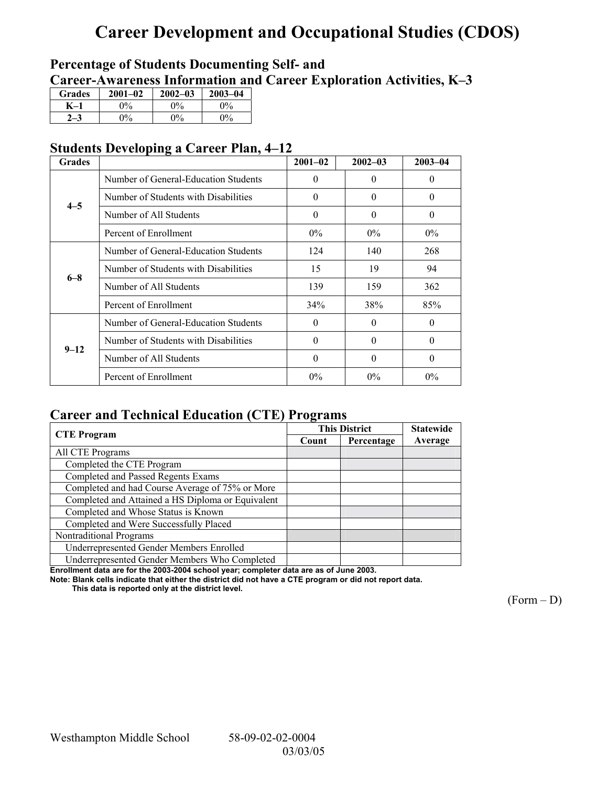# **Career Development and Occupational Studies (CDOS)**

## **Percentage of Students Documenting Self- and**  Career-Awareness Information and Career Exploration Activities, K-3

| <b>Grades</b> | $2001 - 02$ | $2002 - 03$ | $2003 - 04$ |
|---------------|-------------|-------------|-------------|
|               | 0%          | $0\%$       | $2\%$       |
|               | $0\%$       | $0\%$       | $0\%$       |

## **Students Developing a Career Plan, 4–12**

| <b>Grades</b> |                                      | $2001 - 02$ | $2002 - 03$ | $2003 - 04$ |
|---------------|--------------------------------------|-------------|-------------|-------------|
|               | Number of General-Education Students | $\theta$    | $\theta$    | $\theta$    |
| $4 - 5$       | Number of Students with Disabilities | $\theta$    | $\theta$    | $\theta$    |
|               | Number of All Students               | $\theta$    | $\Omega$    | $\theta$    |
|               | Percent of Enrollment                | $0\%$       | $0\%$       | $0\%$       |
|               | Number of General-Education Students | 124         | 140         | 268         |
| $6 - 8$       | Number of Students with Disabilities | 15          | 19          | 94          |
|               | Number of All Students               | 139         | 159         | 362         |
|               | Percent of Enrollment                | 34%         | 38%         | 85%         |
|               | Number of General-Education Students | $\theta$    | $\Omega$    | $\Omega$    |
| $9 - 12$      | Number of Students with Disabilities | $\Omega$    | $\Omega$    | $\theta$    |
|               | Number of All Students               | $\Omega$    | $\Omega$    | $\theta$    |
|               | Percent of Enrollment                | $0\%$       | $0\%$       | $0\%$       |

## **Career and Technical Education (CTE) Programs**

|                                                   |       | <b>This District</b> | <b>Statewide</b> |
|---------------------------------------------------|-------|----------------------|------------------|
| <b>CTE</b> Program                                | Count | Percentage           | Average          |
| All CTE Programs                                  |       |                      |                  |
| Completed the CTE Program                         |       |                      |                  |
| Completed and Passed Regents Exams                |       |                      |                  |
| Completed and had Course Average of 75% or More   |       |                      |                  |
| Completed and Attained a HS Diploma or Equivalent |       |                      |                  |
| Completed and Whose Status is Known               |       |                      |                  |
| Completed and Were Successfully Placed            |       |                      |                  |
| Nontraditional Programs                           |       |                      |                  |
| Underrepresented Gender Members Enrolled          |       |                      |                  |
| Underrepresented Gender Members Who Completed     |       |                      |                  |

**Enrollment data are for the 2003-2004 school year; completer data are as of June 2003.** 

**Note: Blank cells indicate that either the district did not have a CTE program or did not report data.** 

 **This data is reported only at the district level.** 

 $(Form - D)$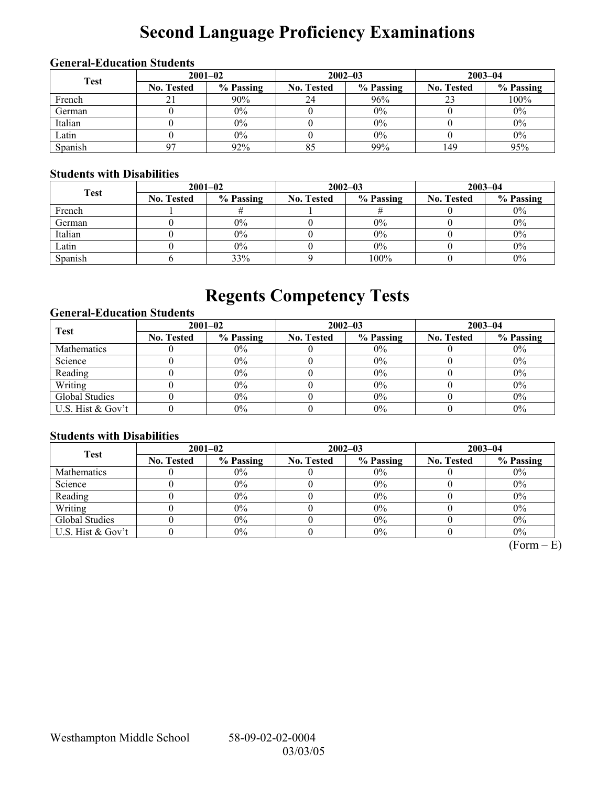# **Second Language Proficiency Examinations**

## **General-Education Students**

| <b>Test</b> | $2001 - 02$       |           |                   | $2002 - 03$ | $2003 - 04$       |           |  |
|-------------|-------------------|-----------|-------------------|-------------|-------------------|-----------|--|
|             | <b>No. Tested</b> | % Passing | <b>No. Tested</b> | % Passing   | <b>No. Tested</b> | % Passing |  |
| French      |                   | 90%       | 24                | 96%         |                   | 100%      |  |
| German      |                   | $0\%$     |                   | $0\%$       |                   | $0\%$     |  |
| Italian     |                   | 0%        |                   | 0%          |                   | $0\%$     |  |
| Latin       |                   | $0\%$     |                   | 0%          |                   | $0\%$     |  |
| Spanish     | 07                | 92%       | 85                | 99%         | 149               | 95%       |  |

### **Students with Disabilities**

| <b>Test</b> | $2001 - 02$       |           |                   | $2002 - 03$ | $2003 - 04$       |           |  |
|-------------|-------------------|-----------|-------------------|-------------|-------------------|-----------|--|
|             | <b>No. Tested</b> | % Passing | <b>No. Tested</b> | % Passing   | <b>No. Tested</b> | % Passing |  |
| French      |                   |           |                   |             |                   | $0\%$     |  |
| German      |                   | $0\%$     |                   | $0\%$       |                   | $0\%$     |  |
| Italian     |                   | $0\%$     |                   | 0%          |                   | $0\%$     |  |
| Latin       |                   | $0\%$     |                   | 0%          |                   | $0\%$     |  |
| Spanish     |                   | 33%       |                   | 100%        |                   | $0\%$     |  |

# **Regents Competency Tests**

### **General-Education Students**

| <b>Test</b>       | $2001 - 02$       |           | $2002 - 03$       |           | $2003 - 04$       |           |  |
|-------------------|-------------------|-----------|-------------------|-----------|-------------------|-----------|--|
|                   | <b>No. Tested</b> | % Passing | <b>No. Tested</b> | % Passing | <b>No. Tested</b> | % Passing |  |
| Mathematics       |                   | $0\%$     |                   | $0\%$     |                   | $0\%$     |  |
| Science           |                   | $0\%$     |                   | 0%        |                   | $0\%$     |  |
| Reading           |                   | $0\%$     |                   | $0\%$     |                   | $0\%$     |  |
| Writing           |                   | $0\%$     |                   | $0\%$     |                   | $0\%$     |  |
| Global Studies    |                   | $0\%$     |                   | 0%        |                   | $0\%$     |  |
| U.S. Hist & Gov't |                   | $0\%$     |                   | 0%        |                   | 0%        |  |

## **Students with Disabilities**

| <b>Test</b>        | $2001 - 02$       |           | $2002 - 03$       |           | $2003 - 04$       |           |  |
|--------------------|-------------------|-----------|-------------------|-----------|-------------------|-----------|--|
|                    | <b>No. Tested</b> | % Passing | <b>No. Tested</b> | % Passing | <b>No. Tested</b> | % Passing |  |
| <b>Mathematics</b> |                   | $0\%$     |                   | $0\%$     |                   | $0\%$     |  |
| Science            |                   | $0\%$     |                   | 0%        |                   | $0\%$     |  |
| Reading            |                   | $0\%$     |                   | $0\%$     |                   | $0\%$     |  |
| Writing            |                   | $0\%$     |                   | 0%        |                   | $0\%$     |  |
| Global Studies     |                   | $0\%$     |                   | $0\%$     |                   | $0\%$     |  |
| U.S. Hist & Gov't  |                   | $0\%$     |                   | 0%        |                   | $0\%$     |  |

 $(Form - E)$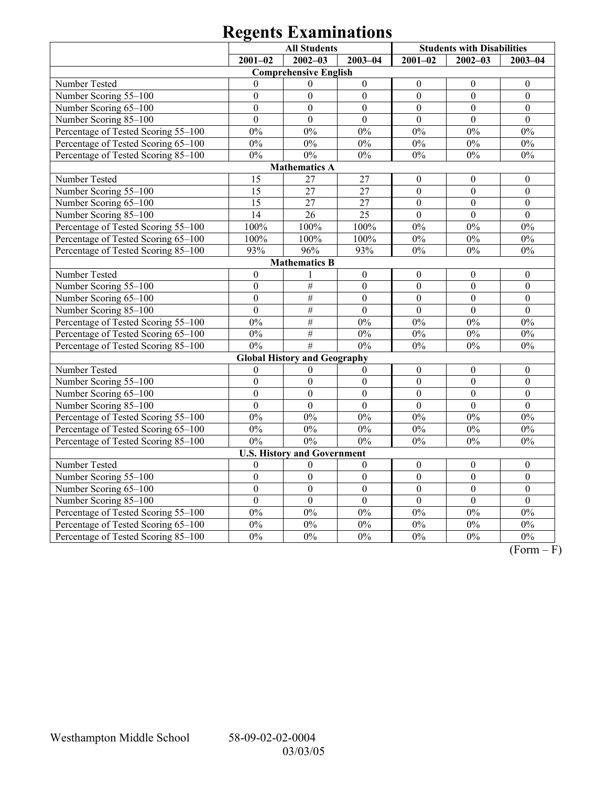|                                     | <b>All Students</b> |                                     |                  | <b>Students with Disabilities</b> |                  |                  |
|-------------------------------------|---------------------|-------------------------------------|------------------|-----------------------------------|------------------|------------------|
|                                     | $2001 - 02$         | $2002 - 03$                         | $2003 - 04$      | $2001 - 02$                       | $2002 - 03$      | $2003 - 04$      |
|                                     |                     | <b>Comprehensive English</b>        |                  |                                   |                  |                  |
| Number Tested                       | $\mathbf{0}$        | $\theta$                            | $\boldsymbol{0}$ | $\boldsymbol{0}$                  | $\boldsymbol{0}$ | $\boldsymbol{0}$ |
| Number Scoring 55-100               | $\overline{0}$      | $\overline{0}$                      | $\overline{0}$   | $\overline{0}$                    | $\overline{0}$   | $\mathbf{0}$     |
| Number Scoring 65-100               | $\mathbf{0}$        | $\mathbf{0}$                        | $\mathbf{0}$     | $\overline{0}$                    | $\overline{0}$   | $\mathbf{0}$     |
| Number Scoring 85-100               | $\overline{0}$      | $\overline{0}$                      | $\overline{0}$   | $\overline{0}$                    | $\overline{0}$   | $\overline{0}$   |
| Percentage of Tested Scoring 55-100 | 0%                  | $0\%$                               | 0%               | 0%                                | 0%               | $0\%$            |
| Percentage of Tested Scoring 65-100 | $0\%$               | $0\%$                               | $0\%$            | $0\%$                             | $0\%$            | $0\%$            |
| Percentage of Tested Scoring 85-100 | $0\%$               | $0\%$                               | $0\%$            | $0\%$                             | $0\%$            | $0\%$            |
|                                     |                     | <b>Mathematics A</b>                |                  |                                   |                  |                  |
| Number Tested                       | 15                  | 27                                  | 27               | $\boldsymbol{0}$                  | $\theta$         | $\boldsymbol{0}$ |
| Number Scoring 55-100               | 15                  | $\overline{27}$                     | $\overline{27}$  | $\overline{0}$                    | $\overline{0}$   | $\mathbf{0}$     |
| Number Scoring 65-100               | 15                  | 27                                  | 27               | $\overline{0}$                    | $\overline{0}$   | $\mathbf{0}$     |
| Number Scoring 85-100               | 14                  | 26                                  | 25               | $\overline{0}$                    | $\overline{0}$   | $\boldsymbol{0}$ |
| Percentage of Tested Scoring 55-100 | 100%                | 100%                                | 100%             | $0\%$                             | 0%               | $0\%$            |
| Percentage of Tested Scoring 65-100 | 100%                | 100%                                | 100%             | $0\%$                             | 0%               | 0%               |
| Percentage of Tested Scoring 85-100 | 93%                 | 96%                                 | 93%              | $0\%$                             | $0\%$            | $0\%$            |
|                                     |                     | <b>Mathematics B</b>                |                  |                                   |                  |                  |
| Number Tested                       | $\boldsymbol{0}$    | 1                                   | $\boldsymbol{0}$ | $\boldsymbol{0}$                  | $\boldsymbol{0}$ | $\boldsymbol{0}$ |
| Number Scoring 55-100               | $\boldsymbol{0}$    | $\#$                                | $\overline{0}$   | $\overline{0}$                    | $\overline{0}$   | $\mathbf{0}$     |
| Number Scoring 65-100               | $\overline{0}$      | $\#$                                | $\overline{0}$   | $\overline{0}$                    | $\overline{0}$   | $\mathbf{0}$     |
| Number Scoring 85-100               | $\mathbf{0}$        | $\#$                                | $\mathbf{0}$     | $\overline{0}$                    | $\overline{0}$   | $\mathbf{0}$     |
| Percentage of Tested Scoring 55-100 | 0%                  | #                                   | 0%               | $0\%$                             | 0%               | $0\%$            |
| Percentage of Tested Scoring 65-100 | $0\%$               | #                                   | $0\%$            | $0\%$                             | 0%               | $0\%$            |
| Percentage of Tested Scoring 85-100 | 0%                  | #                                   | 0%               | 0%                                | 0%               | $0\%$            |
|                                     |                     | <b>Global History and Geography</b> |                  |                                   |                  |                  |
| Number Tested                       | 0                   | 0                                   | $\boldsymbol{0}$ | $\boldsymbol{0}$                  | $\boldsymbol{0}$ | $\boldsymbol{0}$ |
| Number Scoring 55-100               | $\overline{0}$      | $\overline{0}$                      | $\mathbf{0}$     | $\overline{0}$                    | $\overline{0}$   | $\overline{0}$   |
| Number Scoring 65-100               | $\overline{0}$      | $\overline{0}$                      | $\mathbf{0}$     | $\overline{0}$                    | $\overline{0}$   | $\overline{0}$   |
| Number Scoring 85-100               | $\boldsymbol{0}$    | $\mathbf{0}$                        | $\boldsymbol{0}$ | $\overline{0}$                    | $\overline{0}$   | $\boldsymbol{0}$ |
| Percentage of Tested Scoring 55-100 | $0\%$               | $0\%$                               | $0\%$            | 0%                                | 0%               | $0\%$            |
| Percentage of Tested Scoring 65-100 | 0%                  | 0%                                  | 0%               | 0%                                | 0%               | 0%               |
| Percentage of Tested Scoring 85-100 | 0%                  | 0%                                  | 0%               | 0%                                | 0%               | $\overline{0\%}$ |
|                                     |                     | <b>U.S. History and Government</b>  |                  |                                   |                  |                  |
| Number Tested                       | $\theta$            | $\theta$                            | $\mathbf{0}$     | $\boldsymbol{0}$                  | $\mathbf{0}$     | $\mathbf{0}$     |
| Number Scoring 55-100               | $\overline{0}$      | $\overline{0}$                      | $\overline{0}$   | $\overline{0}$                    | $\overline{0}$   | $\overline{0}$   |
| Number Scoring 65-100               | $\boldsymbol{0}$    | $\overline{0}$                      | $\overline{0}$   | $\overline{0}$                    | $\overline{0}$   | $\overline{0}$   |
| Number Scoring 85-100               | $\overline{0}$      | $\overline{0}$                      | $\overline{0}$   | $\overline{0}$                    | $\overline{0}$   | $\overline{0}$   |
| Percentage of Tested Scoring 55-100 | $0\%$               | 0%                                  | 0%               | 0%                                | 0%               | 0%               |
| Percentage of Tested Scoring 65-100 | 0%                  | $0\%$                               | $0\%$            | $0\%$                             | 0%               | $0\%$            |
| Percentage of Tested Scoring 85-100 | 0%                  | 0%                                  | 0%               | 0%                                | 0%               | 0%               |

 $\overline{(Form - F)}$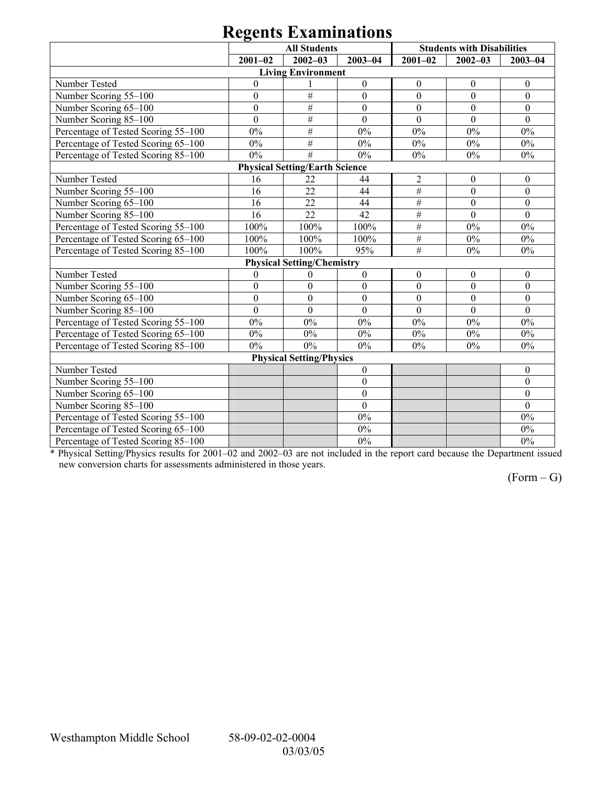| 0                                   |                  |                                       |                  |                  |                                   |                  |  |  |
|-------------------------------------|------------------|---------------------------------------|------------------|------------------|-----------------------------------|------------------|--|--|
|                                     |                  | <b>All Students</b>                   |                  |                  | <b>Students with Disabilities</b> |                  |  |  |
|                                     | $2001 - 02$      | $2002 - 03$                           | $2003 - 04$      | $2001 - 02$      | $2002 - 03$                       | $2003 - 04$      |  |  |
|                                     |                  | <b>Living Environment</b>             |                  |                  |                                   |                  |  |  |
| Number Tested                       | $\boldsymbol{0}$ |                                       | $\boldsymbol{0}$ | $\boldsymbol{0}$ | $\boldsymbol{0}$                  | $\boldsymbol{0}$ |  |  |
| Number Scoring 55-100               | $\boldsymbol{0}$ | $\#$                                  | $\boldsymbol{0}$ | $\boldsymbol{0}$ | $\mathbf{0}$                      | $\mathbf{0}$     |  |  |
| Number Scoring 65-100               | $\boldsymbol{0}$ | #                                     | $\mathbf{0}$     | $\mathbf{0}$     | $\mathbf{0}$                      | $\mathbf{0}$     |  |  |
| Number Scoring 85-100               | $\overline{0}$   | #                                     | $\overline{0}$   | $\overline{0}$   | $\overline{0}$                    | $\theta$         |  |  |
| Percentage of Tested Scoring 55-100 | 0%               | #                                     | 0%               | $0\%$            | 0%                                | 0%               |  |  |
| Percentage of Tested Scoring 65-100 | $0\%$            | #                                     | $0\%$            | $0\%$            | $0\%$                             | $0\%$            |  |  |
| Percentage of Tested Scoring 85-100 | $0\%$            | #                                     | $0\%$            | $0\%$            | $0\%$                             | $0\%$            |  |  |
|                                     |                  | <b>Physical Setting/Earth Science</b> |                  |                  |                                   |                  |  |  |
| Number Tested                       | 16               | 22                                    | 44               | $\overline{2}$   | $\mathbf{0}$                      | $\theta$         |  |  |
| Number Scoring 55-100               | 16               | 22                                    | 44               | $\#$             | $\mathbf{0}$                      | $\overline{0}$   |  |  |
| Number Scoring 65-100               | 16               | 22                                    | 44               | $\#$             | $\overline{0}$                    | $\overline{0}$   |  |  |
| Number Scoring 85-100               | 16               | 22                                    | 42               | $\#$             | $\mathbf{0}$                      | $\mathbf{0}$     |  |  |
| Percentage of Tested Scoring 55-100 | 100%             | 100%                                  | 100%             | $\#$             | 0%                                | $0\%$            |  |  |
| Percentage of Tested Scoring 65-100 | 100%             | 100%                                  | 100%             | $\#$             | $0\%$                             | $0\%$            |  |  |
| Percentage of Tested Scoring 85-100 | 100%             | 100%                                  | 95%              | $\#$             | $0\%$                             | $0\%$            |  |  |
|                                     |                  | <b>Physical Setting/Chemistry</b>     |                  |                  |                                   |                  |  |  |
| Number Tested                       | $\mathbf{0}$     | $\theta$                              | $\mathbf{0}$     | $\boldsymbol{0}$ | $\boldsymbol{0}$                  | $\theta$         |  |  |
| Number Scoring 55-100               | $\boldsymbol{0}$ | $\boldsymbol{0}$                      | $\mathbf{0}$     | $\boldsymbol{0}$ | $\mathbf{0}$                      | $\mathbf{0}$     |  |  |
| Number Scoring 65-100               | $\boldsymbol{0}$ | $\theta$                              | $\overline{0}$   | $\mathbf{0}$     | $\mathbf{0}$                      | $\theta$         |  |  |
| Number Scoring 85-100               | $\mathbf{0}$     | $\mathbf{0}$                          | $\mathbf{0}$     | $\mathbf{0}$     | $\mathbf{0}$                      | $\mathbf{0}$     |  |  |
| Percentage of Tested Scoring 55-100 | $0\%$            | $0\%$                                 | $0\%$            | $0\%$            | $0\%$                             | 0%               |  |  |
| Percentage of Tested Scoring 65-100 | $0\%$            | $0\%$                                 | 0%               | $0\%$            | $0\%$                             | 0%               |  |  |
| Percentage of Tested Scoring 85-100 | $0\%$            | $0\%$                                 | $0\%$            | 0%               | 0%                                | $0\%$            |  |  |
|                                     |                  | <b>Physical Setting/Physics</b>       |                  |                  |                                   |                  |  |  |
| Number Tested                       |                  |                                       | $\mathbf{0}$     |                  |                                   | $\theta$         |  |  |
| Number Scoring 55-100               |                  |                                       | $\boldsymbol{0}$ |                  |                                   | $\mathbf{0}$     |  |  |
| Number Scoring 65-100               |                  |                                       | $\boldsymbol{0}$ |                  |                                   | $\mathbf{0}$     |  |  |
| Number Scoring 85-100               |                  |                                       | $\mathbf{0}$     |                  |                                   | $\theta$         |  |  |
| Percentage of Tested Scoring 55-100 |                  |                                       | $0\%$            |                  |                                   | $0\%$            |  |  |
| Percentage of Tested Scoring 65-100 |                  |                                       | $0\%$            |                  |                                   | $0\%$            |  |  |
| Percentage of Tested Scoring 85-100 |                  |                                       | 0%               |                  |                                   | $0\%$            |  |  |

\* Physical Setting/Physics results for 2001–02 and 2002–03 are not included in the report card because the Department issued new conversion charts for assessments administered in those years.

 $(Form - G)$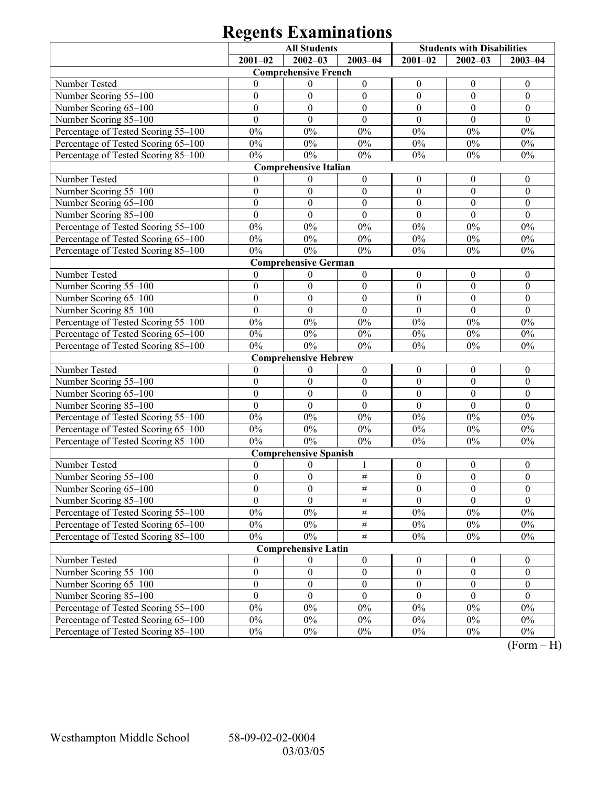|                                     |                  | <b>All Students</b>          |                  | <b>Students with Disabilities</b> |                  |                  |
|-------------------------------------|------------------|------------------------------|------------------|-----------------------------------|------------------|------------------|
|                                     | $2001 - 02$      | $2002 - 03$                  | $2003 - 04$      | $2001 - 02$                       | $2002 - 03$      | $2003 - 04$      |
|                                     |                  | <b>Comprehensive French</b>  |                  |                                   |                  |                  |
| Number Tested                       | $\Omega$         | $\mathbf{0}$                 | $\boldsymbol{0}$ | $\boldsymbol{0}$                  | $\boldsymbol{0}$ | $\boldsymbol{0}$ |
| Number Scoring 55-100               | $\mathbf{0}$     | $\boldsymbol{0}$             | $\boldsymbol{0}$ | $\boldsymbol{0}$                  | $\mathbf{0}$     | $\boldsymbol{0}$ |
| Number Scoring 65-100               | $\boldsymbol{0}$ | $\boldsymbol{0}$             | $\boldsymbol{0}$ | $\boldsymbol{0}$                  | $\boldsymbol{0}$ | $\boldsymbol{0}$ |
| Number Scoring 85-100               | $\overline{0}$   | $\theta$                     | $\theta$         | $\theta$                          | $\theta$         | $\theta$         |
| Percentage of Tested Scoring 55-100 | $0\%$            | $0\%$                        | $0\%$            | $0\%$                             | $0\%$            | $0\%$            |
| Percentage of Tested Scoring 65-100 | $0\%$            | $0\%$                        | $0\%$            | $0\%$                             | $0\%$            | $0\%$            |
| Percentage of Tested Scoring 85-100 | $0\%$            | $0\%$                        | $0\%$            | $0\%$                             | $0\%$            | $0\%$            |
|                                     |                  | <b>Comprehensive Italian</b> |                  |                                   |                  |                  |
| Number Tested                       | $\overline{0}$   | $\mathbf{0}$                 | $\boldsymbol{0}$ | $\boldsymbol{0}$                  | $\boldsymbol{0}$ | $\boldsymbol{0}$ |
| Number Scoring 55-100               | $\boldsymbol{0}$ | $\boldsymbol{0}$             | $\boldsymbol{0}$ | $\boldsymbol{0}$                  | $\mathbf{0}$     | $\boldsymbol{0}$ |
| Number Scoring 65-100               | $\boldsymbol{0}$ | $\boldsymbol{0}$             | $\boldsymbol{0}$ | $\boldsymbol{0}$                  | $\boldsymbol{0}$ | $\boldsymbol{0}$ |
| Number Scoring 85-100               | $\mathbf{0}$     | $\overline{0}$               | $\mathbf{0}$     | $\mathbf{0}$                      | $\mathbf{0}$     | $\mathbf{0}$     |
| Percentage of Tested Scoring 55-100 | $0\%$            | $0\%$                        | $0\%$            | $0\%$                             | $0\%$            | $0\%$            |
| Percentage of Tested Scoring 65-100 | $0\%$            | $0\%$                        | $0\%$            | $0\%$                             | $0\%$            | $0\%$            |
| Percentage of Tested Scoring 85-100 | $0\%$            | $0\%$                        | $0\%$            | $0\%$                             | $0\%$            | $0\%$            |
|                                     |                  | <b>Comprehensive German</b>  |                  |                                   |                  |                  |
| Number Tested                       | $\mathbf{0}$     | $\mathbf{0}$                 | $\boldsymbol{0}$ | $\boldsymbol{0}$                  | $\boldsymbol{0}$ | $\boldsymbol{0}$ |
| Number Scoring 55-100               | $\boldsymbol{0}$ | $\boldsymbol{0}$             | $\boldsymbol{0}$ | $\boldsymbol{0}$                  | $\mathbf{0}$     | $\boldsymbol{0}$ |
| Number Scoring 65-100               | $\boldsymbol{0}$ | $\boldsymbol{0}$             | $\boldsymbol{0}$ | $\boldsymbol{0}$                  | $\boldsymbol{0}$ | $\boldsymbol{0}$ |
| Number Scoring 85-100               | $\mathbf{0}$     | $\overline{0}$               | $\mathbf{0}$     | $\mathbf{0}$                      | $\mathbf{0}$     | $\mathbf{0}$     |
| Percentage of Tested Scoring 55-100 | $0\%$            | $0\%$                        | $0\%$            | $0\%$                             | $0\%$            | $0\%$            |
| Percentage of Tested Scoring 65-100 | $0\%$            | $0\%$                        | $0\%$            | $0\%$                             | $0\%$            | $0\%$            |
| Percentage of Tested Scoring 85-100 | $0\%$            | $0\%$                        | $0\%$            | $0\%$                             | $0\%$            | $0\%$            |
|                                     |                  | <b>Comprehensive Hebrew</b>  |                  |                                   |                  |                  |
| Number Tested                       | $\overline{0}$   | $\boldsymbol{0}$             | $\boldsymbol{0}$ | $\boldsymbol{0}$                  | $\boldsymbol{0}$ | $\boldsymbol{0}$ |
| Number Scoring 55-100               | $\boldsymbol{0}$ | $\boldsymbol{0}$             | $\boldsymbol{0}$ | $\boldsymbol{0}$                  | $\mathbf{0}$     | $\boldsymbol{0}$ |
| Number Scoring 65-100               | $\boldsymbol{0}$ | $\boldsymbol{0}$             | $\boldsymbol{0}$ | $\boldsymbol{0}$                  | $\mathbf{0}$     | $\boldsymbol{0}$ |
| Number Scoring 85-100               | $\boldsymbol{0}$ | $\boldsymbol{0}$             | $\boldsymbol{0}$ | $\boldsymbol{0}$                  | $\mathbf{0}$     | $\mathbf{0}$     |
| Percentage of Tested Scoring 55-100 | $0\%$            | $0\%$                        | $0\%$            | $0\%$                             | $0\%$            | $0\%$            |
| Percentage of Tested Scoring 65-100 | $0\%$            | $0\%$                        | $0\%$            | $0\%$                             | $0\%$            | $0\%$            |
| Percentage of Tested Scoring 85-100 | $0\%$            | $0\%$                        | $0\%$            | $0\%$                             | $0\%$            | $0\%$            |
|                                     |                  | <b>Comprehensive Spanish</b> |                  |                                   |                  |                  |
| Number Tested                       | $\boldsymbol{0}$ | $\boldsymbol{0}$             | 1                | $\boldsymbol{0}$                  | $\boldsymbol{0}$ | $\boldsymbol{0}$ |
| Number Scoring 55-100               | $\boldsymbol{0}$ | $\boldsymbol{0}$             | $\#$             | $\boldsymbol{0}$                  | $\boldsymbol{0}$ | $\boldsymbol{0}$ |
| Number Scoring 65-100               | $\boldsymbol{0}$ | $\boldsymbol{0}$             | #                | $\boldsymbol{0}$                  | $\boldsymbol{0}$ | $\boldsymbol{0}$ |
| Number Scoring 85-100               | $\boldsymbol{0}$ | $\theta$                     | #                | $\theta$                          | $\theta$         | $\theta$         |
| Percentage of Tested Scoring 55-100 | $0\%$            | $0\%$                        | $\frac{1}{2}$    | $0\%$                             | $0\%$            | $0\%$            |
| Percentage of Tested Scoring 65-100 | $0\%$            | $0\%$                        | $\overline{\#}$  | $0\%$                             | $0\%$            | $0\%$            |
| Percentage of Tested Scoring 85-100 | $0\%$            | $0\%$                        | $\overline{\#}$  | $0\%$                             | $0\%$            | $0\%$            |
|                                     |                  | <b>Comprehensive Latin</b>   |                  |                                   |                  |                  |
| Number Tested                       | $\overline{0}$   | $\theta$                     | $\boldsymbol{0}$ | $\boldsymbol{0}$                  | $\boldsymbol{0}$ | $\boldsymbol{0}$ |
| Number Scoring 55-100               | $\boldsymbol{0}$ | $\boldsymbol{0}$             | $\boldsymbol{0}$ | $\boldsymbol{0}$                  | $\boldsymbol{0}$ | $\boldsymbol{0}$ |
| Number Scoring 65-100               | $\boldsymbol{0}$ | $\boldsymbol{0}$             | $\boldsymbol{0}$ | $\boldsymbol{0}$                  | $\boldsymbol{0}$ | $\boldsymbol{0}$ |
| Number Scoring 85-100               | $\mathbf{0}$     | $\mathbf{0}$                 | $\mathbf{0}$     | $\mathbf{0}$                      | $\theta$         | $\theta$         |
| Percentage of Tested Scoring 55-100 | $0\%$            | $0\%$                        | $0\%$            | $0\%$                             | $0\%$            | $0\%$            |
| Percentage of Tested Scoring 65-100 | $0\%$            | $0\%$                        | $0\%$            | $0\%$                             | $0\%$            | $0\%$            |
| Percentage of Tested Scoring 85-100 | $0\%$            | $0\%$                        | $0\%$            | $0\%$                             | $0\%$            | $0\%$            |

 $(Form - H)$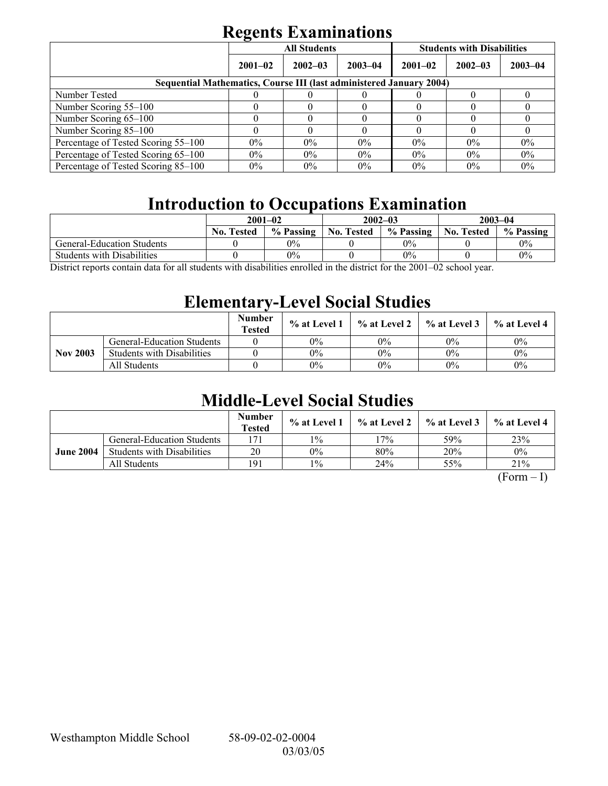|                                                                            | <b>All Students</b> |             |             | <b>Students with Disabilities</b> |             |             |  |
|----------------------------------------------------------------------------|---------------------|-------------|-------------|-----------------------------------|-------------|-------------|--|
|                                                                            | $2001 - 02$         | $2002 - 03$ | $2003 - 04$ | $2001 - 02$                       | $2002 - 03$ | $2003 - 04$ |  |
| <b>Sequential Mathematics, Course III (last administered January 2004)</b> |                     |             |             |                                   |             |             |  |
| Number Tested                                                              |                     |             |             |                                   |             |             |  |
| Number Scoring 55–100                                                      |                     |             |             |                                   |             |             |  |
| Number Scoring 65-100                                                      |                     |             |             |                                   |             |             |  |
| Number Scoring 85-100                                                      |                     |             |             |                                   |             |             |  |
| Percentage of Tested Scoring 55-100                                        | $0\%$               | $0\%$       | $0\%$       | $0\%$                             | $0\%$       | $0\%$       |  |
| Percentage of Tested Scoring 65-100                                        | $0\%$               | $0\%$       | $0\%$       | $0\%$                             | $0\%$       | 0%          |  |
| Percentage of Tested Scoring 85–100                                        | $0\%$               | $0\%$       | 0%          | $0\%$                             | $0\%$       | $0\%$       |  |

## **Introduction to Occupations Examination**

|                                   | $2001 - 02$                                     |           |                   | $2002 - 03$ | $2003 - 04$       |           |
|-----------------------------------|-------------------------------------------------|-----------|-------------------|-------------|-------------------|-----------|
|                                   | <b>No. Tested</b>                               | % Passing | <b>No. Tested</b> | % Passing   | <b>No. Tested</b> | % Passing |
| <b>General-Education Students</b> |                                                 | 0%        |                   | $0\%$       |                   | $0\%$     |
| <b>Students with Disabilities</b> |                                                 | 0%        |                   | $0\%$       |                   | 0%        |
| $\mathbf{r}$<br>11                | $\cdot$ , $\cdot$ , $\cdot$ , $\cdot$ , $\cdot$ | $\cdots$  |                   | 0.00100     |                   |           |

District reports contain data for all students with disabilities enrolled in the district for the 2001–02 school year.

## **Elementary-Level Social Studies**

|                 |                                   | <b>Number</b><br><b>Tested</b> | $\%$ at Level 1 | $\%$ at Level 2 $\parallel$ | $\%$ at Level 3 | % at Level 4 |
|-----------------|-----------------------------------|--------------------------------|-----------------|-----------------------------|-----------------|--------------|
| <b>Nov 2003</b> | <b>General-Education Students</b> |                                | 0%              | 0%                          | $0\%$           | $0\%$        |
|                 | <b>Students with Disabilities</b> |                                | $0\%$           | $0\%$                       | $0\%$           | $0\%$        |
|                 | All Students                      |                                | 0%              | $0\%$                       | $0\%$           | $0\%$        |

## **Middle-Level Social Studies**

|                  |                                   | <b>Number</b><br><b>Tested</b> | $\%$ at Level 1 |       | $\%$ at Level 2 $\%$ at Level 3 | $%$ at Level 4 |
|------------------|-----------------------------------|--------------------------------|-----------------|-------|---------------------------------|----------------|
| <b>June 2004</b> | <b>General-Education Students</b> | 171                            | $1\%$           | $7\%$ | 59%                             | 23%            |
|                  | <b>Students with Disabilities</b> | 20                             | $0\%$           | 80%   | 20%                             | 0%             |
|                  | All Students                      | 191                            | $1\%$           | 24%   | 55%                             | 21%            |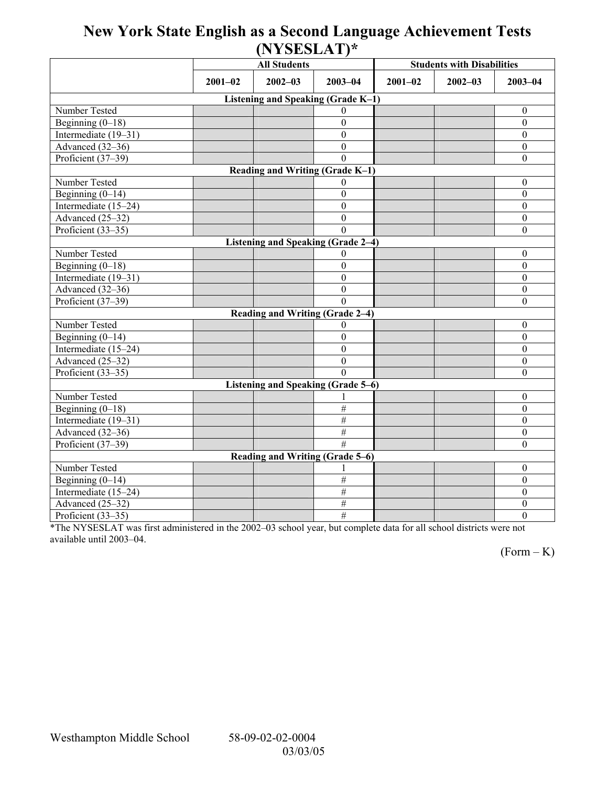## **New York State English as a Second Language Achievement Tests (NYSESLAT)\***

|                                    |             | $(1 + 1)$<br><b>All Students</b>          |                  | <b>Students with Disabilities</b> |             |                  |  |  |  |
|------------------------------------|-------------|-------------------------------------------|------------------|-----------------------------------|-------------|------------------|--|--|--|
|                                    | $2001 - 02$ | $2002 - 03$<br>$2003 - 04$                |                  | $2001 - 02$                       | $2002 - 03$ | $2003 - 04$      |  |  |  |
| Listening and Speaking (Grade K-1) |             |                                           |                  |                                   |             |                  |  |  |  |
| Number Tested                      |             |                                           | $\Omega$         |                                   |             | $\boldsymbol{0}$ |  |  |  |
| Beginning $(0-18)$                 |             |                                           | $\theta$         |                                   |             | $\mathbf{0}$     |  |  |  |
| Intermediate (19-31)               |             |                                           | $\overline{0}$   |                                   |             | $\boldsymbol{0}$ |  |  |  |
| Advanced (32-36)                   |             |                                           | $\overline{0}$   |                                   |             | $\overline{0}$   |  |  |  |
| Proficient (37-39)                 |             |                                           | $\theta$         |                                   |             | $\boldsymbol{0}$ |  |  |  |
| Reading and Writing (Grade K-1)    |             |                                           |                  |                                   |             |                  |  |  |  |
| Number Tested                      |             |                                           | $\Omega$         |                                   |             | $\boldsymbol{0}$ |  |  |  |
| Beginning $(0-14)$                 |             |                                           | $\theta$         |                                   |             | $\boldsymbol{0}$ |  |  |  |
| Intermediate (15-24)               |             |                                           | $\theta$         |                                   |             | $\boldsymbol{0}$ |  |  |  |
| Advanced (25-32)                   |             |                                           | $\mathbf{0}$     |                                   |             | $\boldsymbol{0}$ |  |  |  |
| Proficient (33-35)                 |             |                                           | $\Omega$         |                                   |             | $\boldsymbol{0}$ |  |  |  |
|                                    |             | <b>Listening and Speaking (Grade 2-4)</b> |                  |                                   |             |                  |  |  |  |
| Number Tested                      |             |                                           | $\Omega$         |                                   |             | $\boldsymbol{0}$ |  |  |  |
| Beginning $(0-18)$                 |             |                                           | $\mathbf{0}$     |                                   |             | $\boldsymbol{0}$ |  |  |  |
| Intermediate (19-31)               |             |                                           | $\mathbf{0}$     |                                   |             | $\boldsymbol{0}$ |  |  |  |
| Advanced (32-36)                   |             |                                           | $\mathbf{0}$     |                                   |             | $\boldsymbol{0}$ |  |  |  |
| Proficient (37-39)                 |             |                                           | $\Omega$         |                                   |             | $\boldsymbol{0}$ |  |  |  |
|                                    |             | Reading and Writing (Grade 2-4)           |                  |                                   |             |                  |  |  |  |
| Number Tested                      |             |                                           | $\theta$         |                                   |             | $\mathbf{0}$     |  |  |  |
| Beginning $(0-14)$                 |             |                                           | $\theta$         |                                   |             | $\boldsymbol{0}$ |  |  |  |
| Intermediate (15-24)               |             |                                           | $\Omega$         |                                   |             | $\boldsymbol{0}$ |  |  |  |
| Advanced (25-32)                   |             |                                           | $\boldsymbol{0}$ |                                   |             | $\boldsymbol{0}$ |  |  |  |
| Proficient (33-35)                 |             |                                           | $\Omega$         |                                   |             | $\mathbf{0}$     |  |  |  |
| Listening and Speaking (Grade 5-6) |             |                                           |                  |                                   |             |                  |  |  |  |
| Number Tested                      |             |                                           |                  |                                   |             | $\boldsymbol{0}$ |  |  |  |
| Beginning $(0-18)$                 |             |                                           | $\overline{\#}$  |                                   |             | $\overline{0}$   |  |  |  |
| Intermediate (19–31)               |             |                                           | $\overline{\#}$  |                                   |             | $\theta$         |  |  |  |
| Advanced (32-36)                   |             |                                           | $\#$             |                                   |             | $\boldsymbol{0}$ |  |  |  |
| Proficient (37-39)                 |             |                                           | #                |                                   |             | $\mathbf{0}$     |  |  |  |
| Reading and Writing (Grade 5-6)    |             |                                           |                  |                                   |             |                  |  |  |  |
| Number Tested                      |             |                                           |                  |                                   |             | $\boldsymbol{0}$ |  |  |  |
| Beginning $(0-14)$                 |             |                                           | $\#$             |                                   |             | $\boldsymbol{0}$ |  |  |  |
| Intermediate (15-24)               |             |                                           | $\overline{\#}$  |                                   |             | $\boldsymbol{0}$ |  |  |  |
| Advanced (25-32)                   |             |                                           | $\#$             |                                   |             | $\boldsymbol{0}$ |  |  |  |
| Proficient (33-35)                 |             |                                           | #                |                                   |             | $\mathbf{0}$     |  |  |  |

\*The NYSESLAT was first administered in the 2002-03 school year, but complete data for all school districts were not available until 2003-04.

 $(Form - K)$